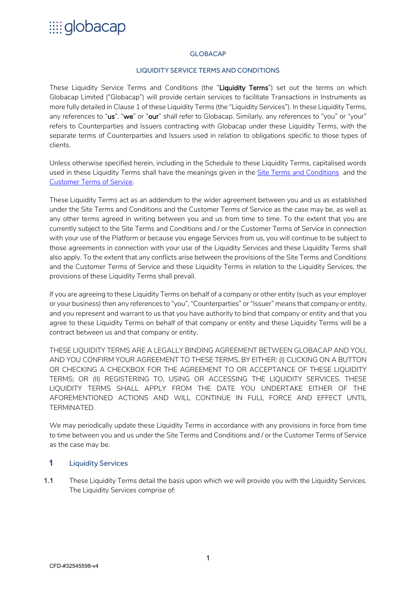#### GLOBACAP

#### LIQUIDITY SERVICE TERMS AND CONDITIONS

These Liquidity Service Terms and Conditions (the "Liquidity Terms") set out the terms on which Globacap Limited ("Globacap") will provide certain services to facilitate Transactions in Instruments as more fully detailed in Clause 1 of these Liquidity Terms (the "Liquidity Services"). In these Liquidity Terms, any references to "us", "we" or "our" shall refer to Globacap. Similarly, any references to "you" or "your" refers to Counterparties and Issuers contracting with Globacap under these Liquidity Terms, with the separate terms of Counterparties and Issuers used in relation to obligations specific to those types of clients.

Unless otherwise specified herein, including in the Schedule to these Liquidity Terms, capitalised words used in these Liquidity Terms shall have the meanings given in the Site Terms and Conditions and the Customer Terms of Service.

These Liquidity Terms act as an addendum to the wider agreement between you and us as established under the Site Terms and Conditions and the Customer Terms of Service as the case may be, as well as any other terms agreed in writing between you and us from time to time. To the extent that you are currently subject to the Site Terms and Conditions and / or the Customer Terms of Service in connection with your use of the Platform or because you engage Services from us, you will continue to be subject to those agreements in connection with your use of the Liquidity Services and these Liquidity Terms shall also apply. To the extent that any conflicts arise between the provisions of the Site Terms and Conditions and the Customer Terms of Service and these Liquidity Terms in relation to the Liquidity Services, the provisions of these Liquidity Terms shall prevail.

If you are agreeing to these Liquidity Terms on behalf of a company or other entity (such as your employer or your business) then any references to "you", "Counterparties" or "Issuer" means that company or entity, and you represent and warrant to us that you have authority to bind that company or entity and that you agree to these Liquidity Terms on behalf of that company or entity and these Liquidity Terms will be a contract between us and that company or entity.

THESE LIQUIDITY TERMS ARE A LEGALLY BINDING AGREEMENT BETWEEN GLOBACAP AND YOU, AND YOU CONFIRM YOUR AGREEMENT TO THESE TERMS, BY EITHER: (I) CLICKING ON A BUTTON OR CHECKING A CHECKBOX FOR THE AGREEMENT TO OR ACCEPTANCE OF THESE LIQUIDITY TERMS; OR (II) REGISTERING TO, USING OR ACCESSING THE LIQUIDITY SERVICES. THESE LIQUIDITY TERMS SHALL APPLY FROM THE DATE YOU UNDERTAKE EITHER OF THE AFOREMENTIONED ACTIONS AND WILL CONTINUE IN FULL FORCE AND EFFECT UNTIL TERMINATED.

We may periodically update these Liquidity Terms in accordance with any provisions in force from time to time between you and us under the Site Terms and Conditions and / or the Customer Terms of Service as the case may be.

### **1** Liquidity Services

1.1 These Liquidity Terms detail the basis upon which we will provide you with the Liquidity Services. The Liquidity Services comprise of: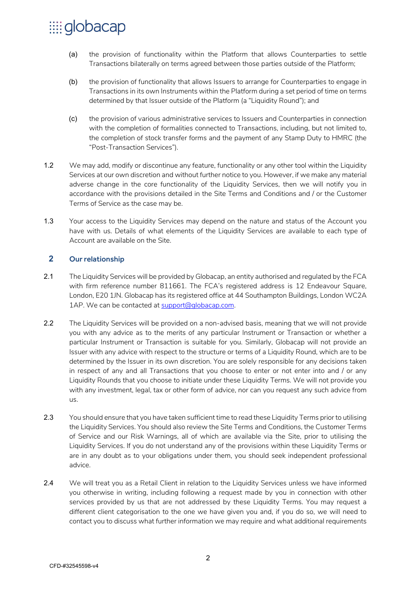- (a) the provision of functionality within the Platform that allows Counterparties to settle Transactions bilaterally on terms agreed between those parties outside of the Platform;
- (b) the provision of functionality that allows Issuers to arrange for Counterparties to engage in Transactions in its own Instruments within the Platform during a set period of time on terms determined by that Issuer outside of the Platform (a "Liquidity Round"); and
- (c) the provision of various administrative services to Issuers and Counterparties in connection with the completion of formalities connected to Transactions, including, but not limited to, the completion of stock transfer forms and the payment of any Stamp Duty to HMRC (the "Post-Transaction Services").
- 1.2 We may add, modify or discontinue any feature, functionality or any other tool within the Liquidity Services at our own discretion and without further notice to you. However, if we make any material adverse change in the core functionality of the Liquidity Services, then we will notify you in accordance with the provisions detailed in the Site Terms and Conditions and / or the Customer Terms of Service as the case may be.
- 1.3 Your access to the Liquidity Services may depend on the nature and status of the Account you have with us. Details of what elements of the Liquidity Services are available to each type of Account are available on the Site.

### **2** Our relationship

- 2.1 The Liquidity Services will be provided by Globacap, an entity authorised and regulated by the FCA with firm reference number 811661. The FCA's registered address is 12 Endeavour Square, London, E20 1JN. Globacap has its registered office at 44 Southampton Buildings, London WC2A 1AP. We can be contacted at support@globacap.com.
- 2.2 The Liquidity Services will be provided on a non-advised basis, meaning that we will not provide you with any advice as to the merits of any particular Instrument or Transaction or whether a particular Instrument or Transaction is suitable for you. Similarly, Globacap will not provide an Issuer with any advice with respect to the structure or terms of a Liquidity Round, which are to be determined by the Issuer in its own discretion. You are solely responsible for any decisions taken in respect of any and all Transactions that you choose to enter or not enter into and / or any Liquidity Rounds that you choose to initiate under these Liquidity Terms. We will not provide you with any investment, legal, tax or other form of advice, nor can you request any such advice from us.
- 2.3 You should ensure that you have taken sufficient time to read these Liquidity Terms prior to utilising the Liquidity Services. You should also review the Site Terms and Conditions, the Customer Terms of Service and our Risk Warnings, all of which are available via the Site, prior to utilising the Liquidity Services. If you do not understand any of the provisions within these Liquidity Terms or are in any doubt as to your obligations under them, you should seek independent professional advice.
- 2.4 We will treat you as a Retail Client in relation to the Liquidity Services unless we have informed you otherwise in writing, including following a request made by you in connection with other services provided by us that are not addressed by these Liquidity Terms. You may request a different client categorisation to the one we have given you and, if you do so, we will need to contact you to discuss what further information we may require and what additional requirements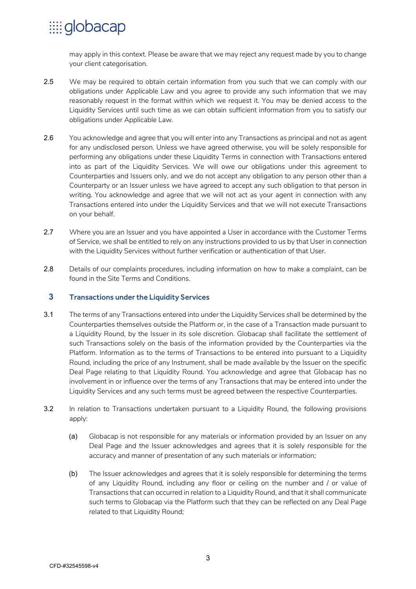may apply in this context. Please be aware that we may reject any request made by you to change your client categorisation.

- 2.5 We may be required to obtain certain information from you such that we can comply with our obligations under Applicable Law and you agree to provide any such information that we may reasonably request in the format within which we request it. You may be denied access to the Liquidity Services until such time as we can obtain sufficient information from you to satisfy our obligations under Applicable Law.
- 2.6 You acknowledge and agree that you will enter into any Transactions as principal and not as agent for any undisclosed person. Unless we have agreed otherwise, you will be solely responsible for performing any obligations under these Liquidity Terms in connection with Transactions entered into as part of the Liquidity Services. We will owe our obligations under this agreement to Counterparties and Issuers only, and we do not accept any obligation to any person other than a Counterparty or an Issuer unless we have agreed to accept any such obligation to that person in writing. You acknowledge and agree that we will not act as your agent in connection with any Transactions entered into under the Liquidity Services and that we will not execute Transactions on your behalf.
- 2.7 Where you are an Issuer and you have appointed a User in accordance with the Customer Terms of Service, we shall be entitled to rely on any instructions provided to us by that User in connection with the Liquidity Services without further verification or authentication of that User.
- 2.8 Details of our complaints procedures, including information on how to make a complaint, can be found in the Site Terms and Conditions.

### **3** Transactions under the Liquidity Services

- 3.1 The terms of any Transactions entered into under the Liquidity Services shall be determined by the Counterparties themselves outside the Platform or, in the case of a Transaction made pursuant to a Liquidity Round, by the Issuer in its sole discretion. Globacap shall facilitate the settlement of such Transactions solely on the basis of the information provided by the Counterparties via the Platform. Information as to the terms of Transactions to be entered into pursuant to a Liquidity Round, including the price of any Instrument, shall be made available by the Issuer on the specific Deal Page relating to that Liquidity Round. You acknowledge and agree that Globacap has no involvement in or influence over the terms of any Transactions that may be entered into under the Liquidity Services and any such terms must be agreed between the respective Counterparties.
- 3.2 In relation to Transactions undertaken pursuant to a Liquidity Round, the following provisions apply:
	- (a) Globacap is not responsible for any materials or information provided by an Issuer on any Deal Page and the Issuer acknowledges and agrees that it is solely responsible for the accuracy and manner of presentation of any such materials or information;
	- (b) The Issuer acknowledges and agrees that it is solely responsible for determining the terms of any Liquidity Round, including any floor or ceiling on the number and / or value of Transactions that can occurred in relation to a Liquidity Round, and that it shall communicate such terms to Globacap via the Platform such that they can be reflected on any Deal Page related to that Liquidity Round;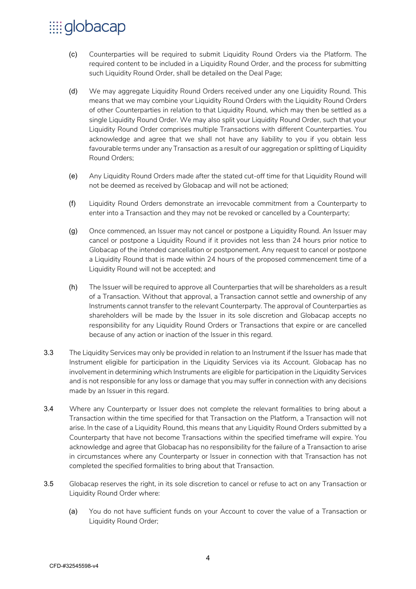- (c) Counterparties will be required to submit Liquidity Round Orders via the Platform. The required content to be included in a Liquidity Round Order, and the process for submitting such Liquidity Round Order, shall be detailed on the Deal Page;
- (d) We may aggregate Liquidity Round Orders received under any one Liquidity Round. This means that we may combine your Liquidity Round Orders with the Liquidity Round Orders of other Counterparties in relation to that Liquidity Round, which may then be settled as a single Liquidity Round Order. We may also split your Liquidity Round Order, such that your Liquidity Round Order comprises multiple Transactions with different Counterparties. You acknowledge and agree that we shall not have any liability to you if you obtain less favourable terms under any Transaction as a result of our aggregation or splitting of Liquidity Round Orders;
- (e) Any Liquidity Round Orders made after the stated cut-off time for that Liquidity Round will not be deemed as received by Globacap and will not be actioned;
- (f) Liquidity Round Orders demonstrate an irrevocable commitment from a Counterparty to enter into a Transaction and they may not be revoked or cancelled by a Counterparty;
- (g) Once commenced, an Issuer may not cancel or postpone a Liquidity Round. An Issuer may cancel or postpone a Liquidity Round if it provides not less than 24 hours prior notice to Globacap of the intended cancellation or postponement. Any request to cancel or postpone a Liquidity Round that is made within 24 hours of the proposed commencement time of a Liquidity Round will not be accepted; and
- (h) The Issuer will be required to approve all Counterparties that will be shareholders as a result of a Transaction. Without that approval, a Transaction cannot settle and ownership of any Instruments cannot transfer to the relevant Counterparty. The approval of Counterparties as shareholders will be made by the Issuer in its sole discretion and Globacap accepts no responsibility for any Liquidity Round Orders or Transactions that expire or are cancelled because of any action or inaction of the Issuer in this regard.
- 3.3 The Liquidity Services may only be provided in relation to an Instrument if the Issuer has made that Instrument eligible for participation in the Liquidity Services via its Account. Globacap has no involvement in determining which Instruments are eligible for participation in the Liquidity Services and is not responsible for any loss or damage that you may suffer in connection with any decisions made by an Issuer in this regard.
- 3.4 Where any Counterparty or Issuer does not complete the relevant formalities to bring about a Transaction within the time specified for that Transaction on the Platform, a Transaction will not arise. In the case of a Liquidity Round, this means that any Liquidity Round Orders submitted by a Counterparty that have not become Transactions within the specified timeframe will expire. You acknowledge and agree that Globacap has no responsibility for the failure of a Transaction to arise in circumstances where any Counterparty or Issuer in connection with that Transaction has not completed the specified formalities to bring about that Transaction.
- 3.5 Globacap reserves the right, in its sole discretion to cancel or refuse to act on any Transaction or Liquidity Round Order where:
	- (a) You do not have sufficient funds on your Account to cover the value of a Transaction or Liquidity Round Order;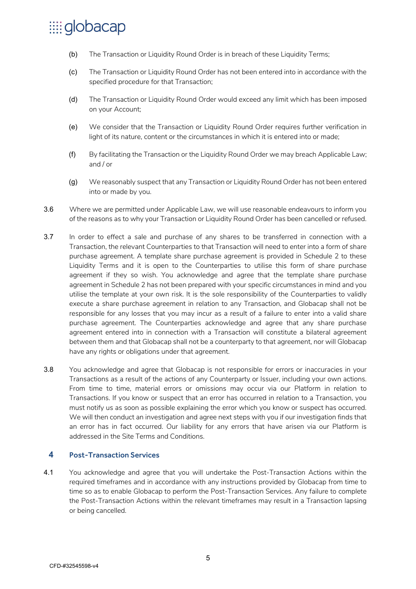- (b) The Transaction or Liquidity Round Order is in breach of these Liquidity Terms;
- (c) The Transaction or Liquidity Round Order has not been entered into in accordance with the specified procedure for that Transaction;
- (d) The Transaction or Liquidity Round Order would exceed any limit which has been imposed on your Account;
- (e) We consider that the Transaction or Liquidity Round Order requires further verification in light of its nature, content or the circumstances in which it is entered into or made;
- (f) By facilitating the Transaction or the Liquidity Round Order we may breach Applicable Law; and / or
- (g) We reasonably suspect that any Transaction or Liquidity Round Order has not been entered into or made by you.
- 3.6 Where we are permitted under Applicable Law, we will use reasonable endeavours to inform you of the reasons as to why your Transaction or Liquidity Round Order has been cancelled or refused.
- 3.7 In order to effect a sale and purchase of any shares to be transferred in connection with a Transaction, the relevant Counterparties to that Transaction will need to enter into a form of share purchase agreement. A template share purchase agreement is provided in Schedule 2 to these Liquidity Terms and it is open to the Counterparties to utilise this form of share purchase agreement if they so wish. You acknowledge and agree that the template share purchase agreement in Schedule 2 has not been prepared with your specific circumstances in mind and you utilise the template at your own risk. It is the sole responsibility of the Counterparties to validly execute a share purchase agreement in relation to any Transaction, and Globacap shall not be responsible for any losses that you may incur as a result of a failure to enter into a valid share purchase agreement. The Counterparties acknowledge and agree that any share purchase agreement entered into in connection with a Transaction will constitute a bilateral agreement between them and that Globacap shall not be a counterparty to that agreement, nor will Globacap have any rights or obligations under that agreement.
- 3.8 You acknowledge and agree that Globacap is not responsible for errors or inaccuracies in your Transactions as a result of the actions of any Counterparty or Issuer, including your own actions. From time to time, material errors or omissions may occur via our Platform in relation to Transactions. If you know or suspect that an error has occurred in relation to a Transaction, you must notify us as soon as possible explaining the error which you know or suspect has occurred. We will then conduct an investigation and agree next steps with you if our investigation finds that an error has in fact occurred. Our liability for any errors that have arisen via our Platform is addressed in the Site Terms and Conditions.

### **4** Post-Transaction Services

4.1 You acknowledge and agree that you will undertake the Post-Transaction Actions within the required timeframes and in accordance with any instructions provided by Globacap from time to time so as to enable Globacap to perform the Post-Transaction Services. Any failure to complete the Post-Transaction Actions within the relevant timeframes may result in a Transaction lapsing or being cancelled.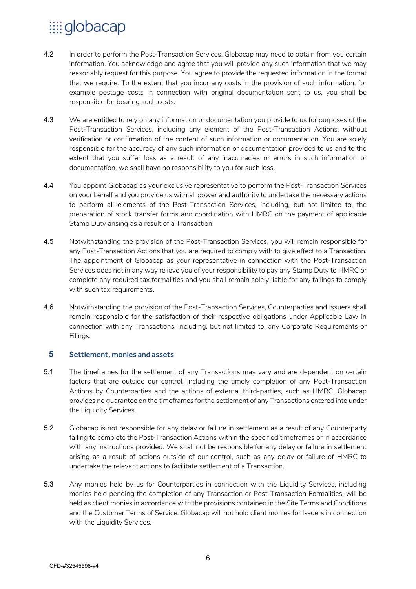- 4.2 In order to perform the Post-Transaction Services, Globacap may need to obtain from you certain information. You acknowledge and agree that you will provide any such information that we may reasonably request for this purpose. You agree to provide the requested information in the format that we require. To the extent that you incur any costs in the provision of such information, for example postage costs in connection with original documentation sent to us, you shall be responsible for bearing such costs.
- 4.3 We are entitled to rely on any information or documentation you provide to us for purposes of the Post-Transaction Services, including any element of the Post-Transaction Actions, without verification or confirmation of the content of such information or documentation. You are solely responsible for the accuracy of any such information or documentation provided to us and to the extent that you suffer loss as a result of any inaccuracies or errors in such information or documentation, we shall have no responsibility to you for such loss.
- 4.4 You appoint Globacap as your exclusive representative to perform the Post-Transaction Services on your behalf and you provide us with all power and authority to undertake the necessary actions to perform all elements of the Post-Transaction Services, including, but not limited to, the preparation of stock transfer forms and coordination with HMRC on the payment of applicable Stamp Duty arising as a result of a Transaction.
- 4.5 Notwithstanding the provision of the Post-Transaction Services, you will remain responsible for any Post-Transaction Actions that you are required to comply with to give effect to a Transaction. The appointment of Globacap as your representative in connection with the Post-Transaction Services does not in any way relieve you of your responsibility to pay any Stamp Duty to HMRC or complete any required tax formalities and you shall remain solely liable for any failings to comply with such tax requirements.
- 4.6 Notwithstanding the provision of the Post-Transaction Services, Counterparties and Issuers shall remain responsible for the satisfaction of their respective obligations under Applicable Law in connection with any Transactions, including, but not limited to, any Corporate Requirements or Filings.

### **5** Settlement, monies and assets

- 5.1 The timeframes for the settlement of any Transactions may vary and are dependent on certain factors that are outside our control, including the timely completion of any Post-Transaction Actions by Counterparties and the actions of external third-parties, such as HMRC. Globacap provides no guarantee on the timeframes for the settlement of any Transactions entered into under the Liquidity Services.
- 5.2 Globacap is not responsible for any delay or failure in settlement as a result of any Counterparty failing to complete the Post-Transaction Actions within the specified timeframes or in accordance with any instructions provided. We shall not be responsible for any delay or failure in settlement arising as a result of actions outside of our control, such as any delay or failure of HMRC to undertake the relevant actions to facilitate settlement of a Transaction.
- 5.3 Any monies held by us for Counterparties in connection with the Liquidity Services, including monies held pending the completion of any Transaction or Post-Transaction Formalities, will be held as client monies in accordance with the provisions contained in the Site Terms and Conditions and the Customer Terms of Service. Globacap will not hold client monies for Issuers in connection with the Liquidity Services.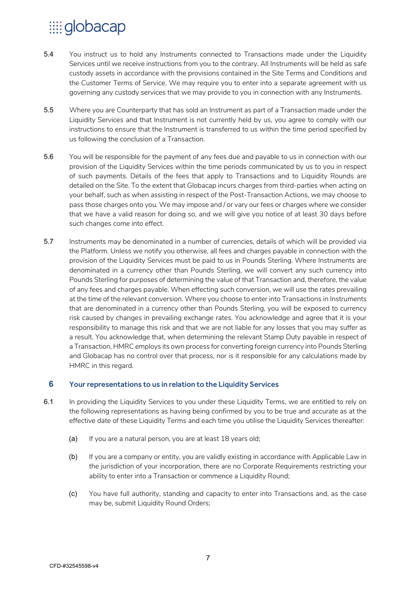- 5.4 You instruct us to hold any Instruments connected to Transactions made under the Liquidity Services until we receive instructions from you to the contrary. All Instruments will be held as safe custody assets in accordance with the provisions contained in the Site Terms and Conditions and the Customer Terms of Service. We may require you to enter into a separate agreement with us governing any custody services that we may provide to you in connection with any Instruments.
- 5.5 Where you are Counterparty that has sold an Instrument as part of a Transaction made under the Liquidity Services and that Instrument is not currently held by us, you agree to comply with our instructions to ensure that the Instrument is transferred to us within the time period specified by us following the conclusion of a Transaction.
- 5.6 You will be responsible for the payment of any fees due and payable to us in connection with our provision of the Liquidity Services within the time periods communicated by us to you in respect of such payments. Details of the fees that apply to Transactions and to Liquidity Rounds are detailed on the Site. To the extent that Globacap incurs charges from third-parties when acting on your behalf, such as when assisting in respect of the Post-Transaction Actions, we may choose to pass those charges onto you. We may impose and / or vary our fees or charges where we consider that we have a valid reason for doing so, and we will give you notice of at least 30 days before such changes come into effect.
- 5.7 Instruments may be denominated in a number of currencies, details of which will be provided via the Platform. Unless we notify you otherwise, all fees and charges payable in connection with the provision of the Liquidity Services must be paid to us in Pounds Sterling. Where Instruments are denominated in a currency other than Pounds Sterling, we will convert any such currency into Pounds Sterling for purposes of determining the value of that Transaction and, therefore, the value of any fees and charges payable. When effecting such conversion, we will use the rates prevailing at the time of the relevant conversion. Where you choose to enter into Transactions in Instruments that are denominated in a currency other than Pounds Sterling, you will be exposed to currency risk caused by changes in prevailing exchange rates. You acknowledge and agree that it is your responsibility to manage this risk and that we are not liable for any losses that you may suffer as a result. You acknowledge that, when determining the relevant Stamp Duty payable in respect of a Transaction, HMRC employs its own process for converting foreign currency into Pounds Sterling and Globacap has no control over that process, nor is it responsible for any calculations made by HMRC in this regard.

### **6** Your representations to us in relation to the Liquidity Services

- 6.1 In providing the Liquidity Services to you under these Liquidity Terms, we are entitled to rely on the following representations as having being confirmed by you to be true and accurate as at the effective date of these Liquidity Terms and each time you utilise the Liquidity Services thereafter:
	- (a) If you are a natural person, you are at least 18 years old;
	- (b) If you are a company or entity, you are validly existing in accordance with Applicable Law in the jurisdiction of your incorporation, there are no Corporate Requirements restricting your ability to enter into a Transaction or commence a Liquidity Round;
	- (c) You have full authority, standing and capacity to enter into Transactions and, as the case may be, submit Liquidity Round Orders;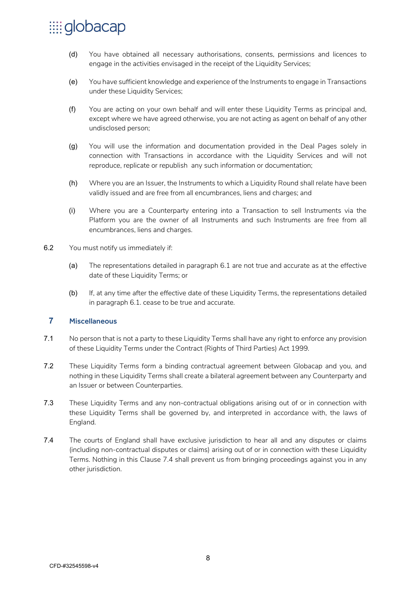- (d) You have obtained all necessary authorisations, consents, permissions and licences to engage in the activities envisaged in the receipt of the Liquidity Services;
- (e) You have sufficient knowledge and experience of the Instruments to engage in Transactions under these Liquidity Services;
- (f) You are acting on your own behalf and will enter these Liquidity Terms as principal and, except where we have agreed otherwise, you are not acting as agent on behalf of any other undisclosed person;
- (g) You will use the information and documentation provided in the Deal Pages solely in connection with Transactions in accordance with the Liquidity Services and will not reproduce, replicate or republish any such information or documentation;
- (h) Where you are an Issuer, the Instruments to which a Liquidity Round shall relate have been validly issued and are free from all encumbrances, liens and charges; and
- (i) Where you are a Counterparty entering into a Transaction to sell Instruments via the Platform you are the owner of all Instruments and such Instruments are free from all encumbrances, liens and charges.
- 6.2 You must notify us immediately if:
	- (a) The representations detailed in paragraph 6.1 are not true and accurate as at the effective date of these Liquidity Terms; or
	- (b) If, at any time after the effective date of these Liquidity Terms, the representations detailed in paragraph 6.1. cease to be true and accurate.

### **7** Miscellaneous

- 7.1 No person that is not a party to these Liquidity Terms shall have any right to enforce any provision of these Liquidity Terms under the Contract (Rights of Third Parties) Act 1999.
- 7.2 These Liquidity Terms form a binding contractual agreement between Globacap and you, and nothing in these Liquidity Terms shall create a bilateral agreement between any Counterparty and an Issuer or between Counterparties.
- 7.3 These Liquidity Terms and any non-contractual obligations arising out of or in connection with these Liquidity Terms shall be governed by, and interpreted in accordance with, the laws of England.
- 7.4 The courts of England shall have exclusive jurisdiction to hear all and any disputes or claims (including non-contractual disputes or claims) arising out of or in connection with these Liquidity Terms. Nothing in this Clause 7.4 shall prevent us from bringing proceedings against you in any other jurisdiction.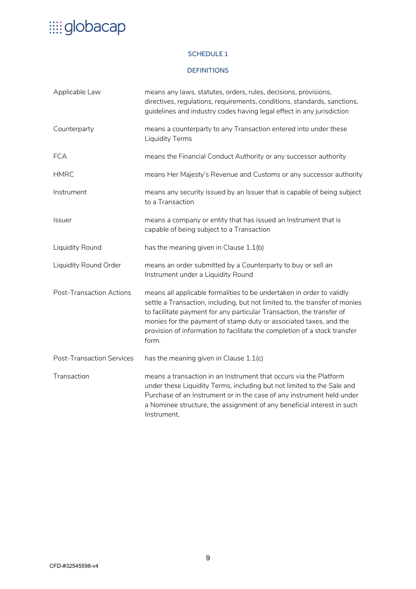### SCHEDULE 1

#### **DEFINITIONS**

| Applicable Law                   | means any laws, statutes, orders, rules, decisions, provisions,<br>directives, regulations, requirements, conditions, standards, sanctions,<br>guidelines and industry codes having legal effect in any jurisdiction                                                                                                                                                                     |
|----------------------------------|------------------------------------------------------------------------------------------------------------------------------------------------------------------------------------------------------------------------------------------------------------------------------------------------------------------------------------------------------------------------------------------|
| Counterparty                     | means a counterparty to any Transaction entered into under these<br><b>Liquidity Terms</b>                                                                                                                                                                                                                                                                                               |
| <b>FCA</b>                       | means the Financial Conduct Authority or any successor authority                                                                                                                                                                                                                                                                                                                         |
| <b>HMRC</b>                      | means Her Majesty's Revenue and Customs or any successor authority                                                                                                                                                                                                                                                                                                                       |
| Instrument                       | means any security issued by an Issuer that is capable of being subject<br>to a Transaction                                                                                                                                                                                                                                                                                              |
| Issuer                           | means a company or entity that has issued an Instrument that is<br>capable of being subject to a Transaction                                                                                                                                                                                                                                                                             |
| Liquidity Round                  | has the meaning given in Clause 1.1(b)                                                                                                                                                                                                                                                                                                                                                   |
| Liquidity Round Order            | means an order submitted by a Counterparty to buy or sell an<br>Instrument under a Liquidity Round                                                                                                                                                                                                                                                                                       |
| <b>Post-Transaction Actions</b>  | means all applicable formalities to be undertaken in order to validly<br>settle a Transaction, including, but not limited to, the transfer of monies<br>to facilitate payment for any particular Transaction, the transfer of<br>monies for the payment of stamp duty or associated taxes, and the<br>provision of information to facilitate the completion of a stock transfer<br>form. |
| <b>Post-Transaction Services</b> | has the meaning given in Clause 1.1(c)                                                                                                                                                                                                                                                                                                                                                   |
| Transaction                      | means a transaction in an Instrument that occurs via the Platform<br>under these Liquidity Terms, including but not limited to the Sale and<br>Purchase of an Instrument or in the case of any instrument held under<br>a Nominee structure, the assignment of any beneficial interest in such<br>Instrument.                                                                            |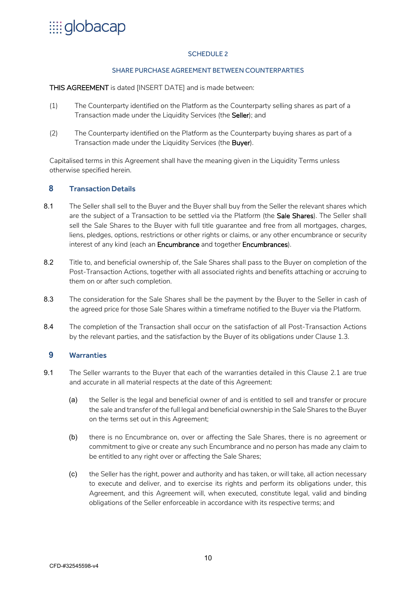# $\dddot{m}$ globacap

#### SCHEDULE<sub>2</sub>

#### SHARE PURCHASE AGREEMENT BETWEEN COUNTERPARTIES

THIS AGREEMENT is dated [INSERT DATE] and is made between:

- (1) The Counterparty identified on the Platform as the Counterparty selling shares as part of a Transaction made under the Liquidity Services (the Seller); and
- (2) The Counterparty identified on the Platform as the Counterparty buying shares as part of a Transaction made under the Liquidity Services (the Buyer).

Capitalised terms in this Agreement shall have the meaning given in the Liquidity Terms unless otherwise specified herein.

#### **8** Transaction Details

- 8.1 The Seller shall sell to the Buyer and the Buyer shall buy from the Seller the relevant shares which are the subject of a Transaction to be settled via the Platform (the Sale Shares). The Seller shall sell the Sale Shares to the Buyer with full title guarantee and free from all mortgages, charges, liens, pledges, options, restrictions or other rights or claims, or any other encumbrance or security interest of any kind (each an Encumbrance and together Encumbrances).
- 8.2 Title to, and beneficial ownership of, the Sale Shares shall pass to the Buyer on completion of the Post-Transaction Actions, together with all associated rights and benefits attaching or accruing to them on or after such completion.
- 8.3 The consideration for the Sale Shares shall be the payment by the Buyer to the Seller in cash of the agreed price for those Sale Shares within a timeframe notified to the Buyer via the Platform.
- 8.4 The completion of the Transaction shall occur on the satisfaction of all Post-Transaction Actions by the relevant parties, and the satisfaction by the Buyer of its obligations under Clause 1.3.

### **9** Warranties

- 9.1 The Seller warrants to the Buyer that each of the warranties detailed in this Clause 2.1 are true and accurate in all material respects at the date of this Agreement:
	- (a) the Seller is the legal and beneficial owner of and is entitled to sell and transfer or procure the sale and transfer of the full legal and beneficial ownership in the Sale Shares to the Buyer on the terms set out in this Agreement;
	- (b) there is no Encumbrance on, over or affecting the Sale Shares, there is no agreement or commitment to give or create any such Encumbrance and no person has made any claim to be entitled to any right over or affecting the Sale Shares;
	- (c) the Seller has the right, power and authority and has taken, or will take, all action necessary to execute and deliver, and to exercise its rights and perform its obligations under, this Agreement, and this Agreement will, when executed, constitute legal, valid and binding obligations of the Seller enforceable in accordance with its respective terms; and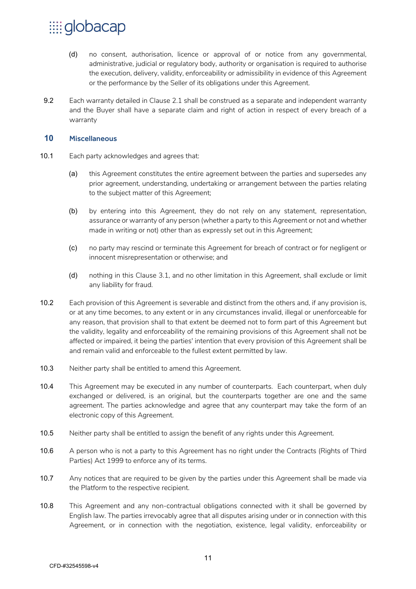- (d) no consent, authorisation, licence or approval of or notice from any governmental, administrative, judicial or regulatory body, authority or organisation is required to authorise the execution, delivery, validity, enforceability or admissibility in evidence of this Agreement or the performance by the Seller of its obligations under this Agreement.
- 9.2 Each warranty detailed in Clause 2.1 shall be construed as a separate and independent warranty and the Buyer shall have a separate claim and right of action in respect of every breach of a warranty

#### **10** Miscellaneous

- 10.1 Each party acknowledges and agrees that:
	- (a) this Agreement constitutes the entire agreement between the parties and supersedes any prior agreement, understanding, undertaking or arrangement between the parties relating to the subject matter of this Agreement;
	- (b) by entering into this Agreement, they do not rely on any statement, representation, assurance or warranty of any person (whether a party to this Agreement or not and whether made in writing or not) other than as expressly set out in this Agreement;
	- (c) no party may rescind or terminate this Agreement for breach of contract or for negligent or innocent misrepresentation or otherwise; and
	- (d) nothing in this Clause 3.1, and no other limitation in this Agreement, shall exclude or limit any liability for fraud.
- 10.2 Each provision of this Agreement is severable and distinct from the others and, if any provision is, or at any time becomes, to any extent or in any circumstances invalid, illegal or unenforceable for any reason, that provision shall to that extent be deemed not to form part of this Agreement but the validity, legality and enforceability of the remaining provisions of this Agreement shall not be affected or impaired, it being the parties' intention that every provision of this Agreement shall be and remain valid and enforceable to the fullest extent permitted by law.
- 10.3 Neither party shall be entitled to amend this Agreement.
- 10.4 This Agreement may be executed in any number of counterparts. Each counterpart, when duly exchanged or delivered, is an original, but the counterparts together are one and the same agreement. The parties acknowledge and agree that any counterpart may take the form of an electronic copy of this Agreement.
- 10.5 Neither party shall be entitled to assign the benefit of any rights under this Agreement.
- 10.6 A person who is not a party to this Agreement has no right under the Contracts (Rights of Third Parties) Act 1999 to enforce any of its terms.
- 10.7 Any notices that are required to be given by the parties under this Agreement shall be made via the Platform to the respective recipient.
- 10.8 This Agreement and any non-contractual obligations connected with it shall be governed by English law. The parties irrevocably agree that all disputes arising under or in connection with this Agreement, or in connection with the negotiation, existence, legal validity, enforceability or